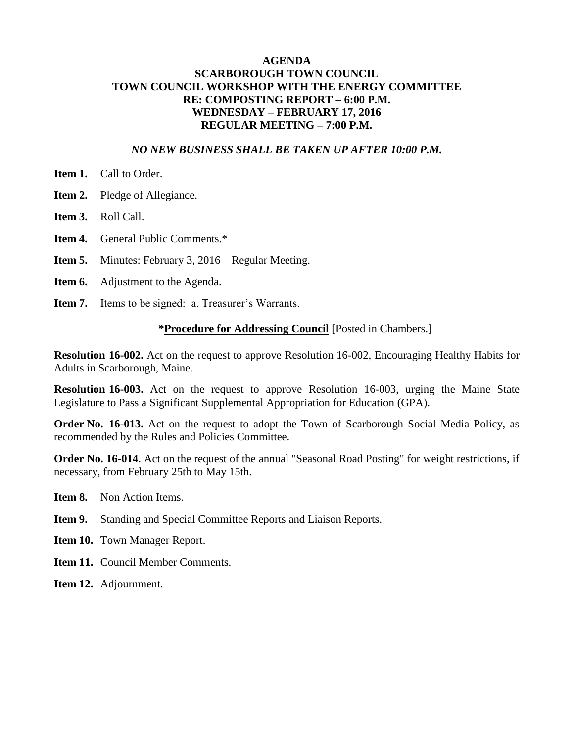### **AGENDA SCARBOROUGH TOWN COUNCIL TOWN COUNCIL WORKSHOP WITH THE ENERGY COMMITTEE RE: COMPOSTING REPORT – 6:00 P.M. WEDNESDAY – FEBRUARY 17, 2016 REGULAR MEETING – 7:00 P.M.**

#### *NO NEW BUSINESS SHALL BE TAKEN UP AFTER 10:00 P.M.*

- **Item 1.** Call to Order.
- **Item 2.** Pledge of Allegiance.
- **Item 3.** Roll Call.
- **Item 4.** General Public Comments.\*
- **Item 5.** Minutes: February 3, 2016 Regular Meeting.
- **Item 6.** Adjustment to the Agenda.
- **Item 7.** Items to be signed: a. Treasurer's Warrants.

#### **\*Procedure for Addressing Council** [Posted in Chambers.]

**Resolution 16-002.** Act on the request to approve Resolution 16-002, Encouraging Healthy Habits for Adults in Scarborough, Maine.

**Resolution 16-003.** Act on the request to approve Resolution 16-003, urging the Maine State Legislature to Pass a Significant Supplemental Appropriation for Education (GPA).

**Order No. 16-013.** Act on the request to adopt the Town of Scarborough Social Media Policy, as recommended by the Rules and Policies Committee.

**Order No. 16-014**. Act on the request of the annual "Seasonal Road Posting" for weight restrictions, if necessary, from February 25th to May 15th.

- **Item 8.** Non Action Items.
- **Item 9.** Standing and Special Committee Reports and Liaison Reports.
- **Item 10.** Town Manager Report.
- **Item 11.** Council Member Comments.
- **Item 12.** Adjournment.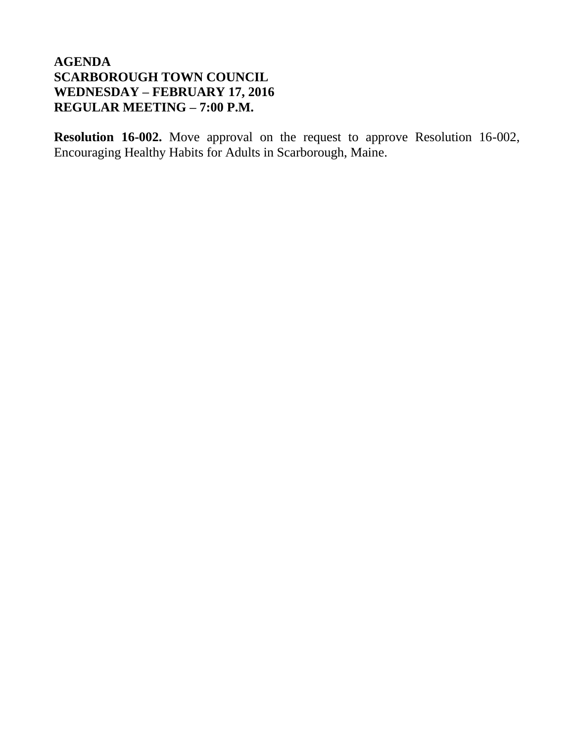**Resolution 16-002.** Move approval on the request to approve Resolution 16-002, Encouraging Healthy Habits for Adults in Scarborough, Maine.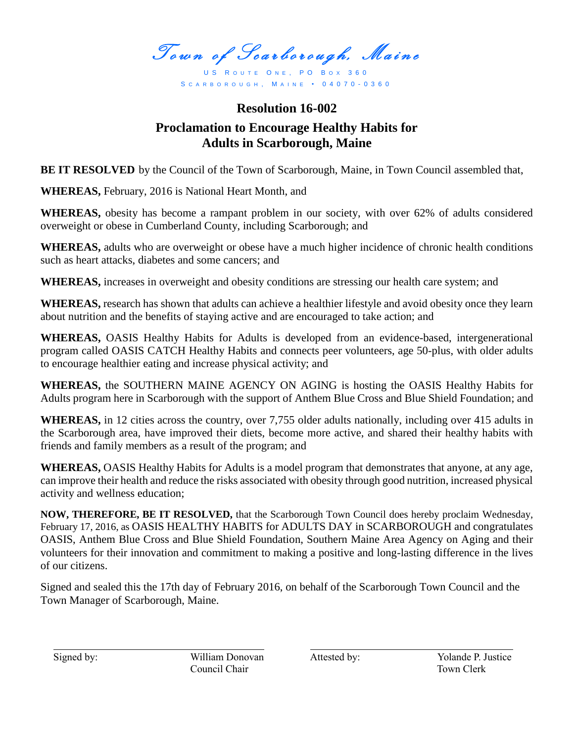Town of Scarborough, Maine

US ROUTE ONE, PO BOX 360 S C A R B O R O U G H , M A I N E • 0 4 0 7 0 - 0 3 6 0

# **Resolution 16-002 Proclamation to Encourage Healthy Habits for Adults in Scarborough, Maine**

**BE IT RESOLVED** by the Council of the Town of Scarborough, Maine, in Town Council assembled that,

**WHEREAS,** February, 2016 is National Heart Month, and

**WHEREAS,** obesity has become a rampant problem in our society, with over 62% of adults considered overweight or obese in Cumberland County, including Scarborough; and

**WHEREAS,** adults who are overweight or obese have a much higher incidence of chronic health conditions such as heart attacks, diabetes and some cancers; and

**WHEREAS,** increases in overweight and obesity conditions are stressing our health care system; and

**WHEREAS,** research has shown that adults can achieve a healthier lifestyle and avoid obesity once they learn about nutrition and the benefits of staying active and are encouraged to take action; and

**WHEREAS,** OASIS Healthy Habits for Adults is developed from an evidence-based, intergenerational program called OASIS CATCH Healthy Habits and connects peer volunteers, age 50-plus, with older adults to encourage healthier eating and increase physical activity; and

**WHEREAS,** the SOUTHERN MAINE AGENCY ON AGING is hosting the OASIS Healthy Habits for Adults program here in Scarborough with the support of Anthem Blue Cross and Blue Shield Foundation; and

**WHEREAS,** in 12 cities across the country, over 7,755 older adults nationally, including over 415 adults in the Scarborough area, have improved their diets, become more active, and shared their healthy habits with friends and family members as a result of the program; and

**WHEREAS,** OASIS Healthy Habits for Adults is a model program that demonstrates that anyone, at any age, can improve their health and reduce the risks associated with obesity through good nutrition, increased physical activity and wellness education;

**NOW, THEREFORE, BE IT RESOLVED,** that the Scarborough Town Council does hereby proclaim Wednesday, February 17, 2016, as OASIS HEALTHY HABITS for ADULTS DAY in SCARBOROUGH and congratulates OASIS, Anthem Blue Cross and Blue Shield Foundation, Southern Maine Area Agency on Aging and their volunteers for their innovation and commitment to making a positive and long-lasting difference in the lives of our citizens.

Signed and sealed this the 17th day of February 2016, on behalf of the Scarborough Town Council and the Town Manager of Scarborough, Maine.

Signed by: William Donovan Attested by: Yolande P. Justice *Council Chair* Town Clerk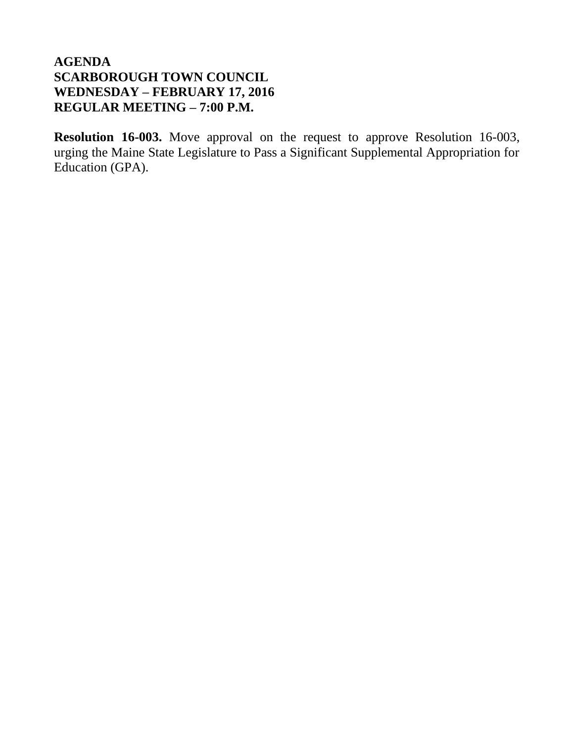**Resolution 16-003.** Move approval on the request to approve Resolution 16-003, urging the Maine State Legislature to Pass a Significant Supplemental Appropriation for Education (GPA).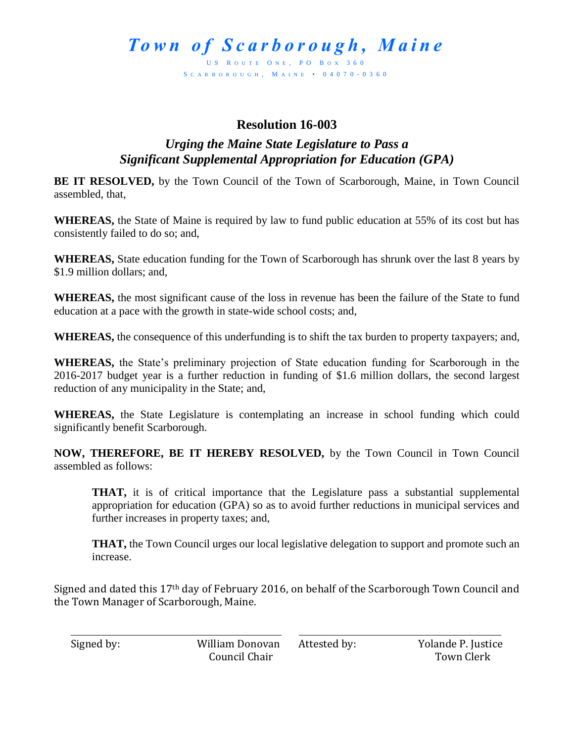US ROUTE ONE, PO BOX 360 S C A R B O R O U G H , M A I N E • 0 4 0 7 0 - 0 3 6 0

# **Resolution 16-003**

# *Urging the Maine State Legislature to Pass a Significant Supplemental Appropriation for Education (GPA)*

**BE IT RESOLVED,** by the Town Council of the Town of Scarborough, Maine, in Town Council assembled, that,

**WHEREAS,** the State of Maine is required by law to fund public education at 55% of its cost but has consistently failed to do so; and,

**WHEREAS,** State education funding for the Town of Scarborough has shrunk over the last 8 years by \$1.9 million dollars; and,

**WHEREAS,** the most significant cause of the loss in revenue has been the failure of the State to fund education at a pace with the growth in state-wide school costs; and,

**WHEREAS,** the consequence of this underfunding is to shift the tax burden to property taxpayers; and,

**WHEREAS,** the State's preliminary projection of State education funding for Scarborough in the 2016-2017 budget year is a further reduction in funding of \$1.6 million dollars, the second largest reduction of any municipality in the State; and,

**WHEREAS,** the State Legislature is contemplating an increase in school funding which could significantly benefit Scarborough.

**NOW, THEREFORE, BE IT HEREBY RESOLVED,** by the Town Council in Town Council assembled as follows:

**THAT,** it is of critical importance that the Legislature pass a substantial supplemental appropriation for education (GPA) so as to avoid further reductions in municipal services and further increases in property taxes; and,

**THAT,** the Town Council urges our local legislative delegation to support and promote such an increase.

Signed and dated this 17th day of February 2016, on behalf of the Scarborough Town Council and the Town Manager of Scarborough, Maine.

Council Chair **Town Clerk** 

Signed by: William Donovan Attested by: Yolande P. Justice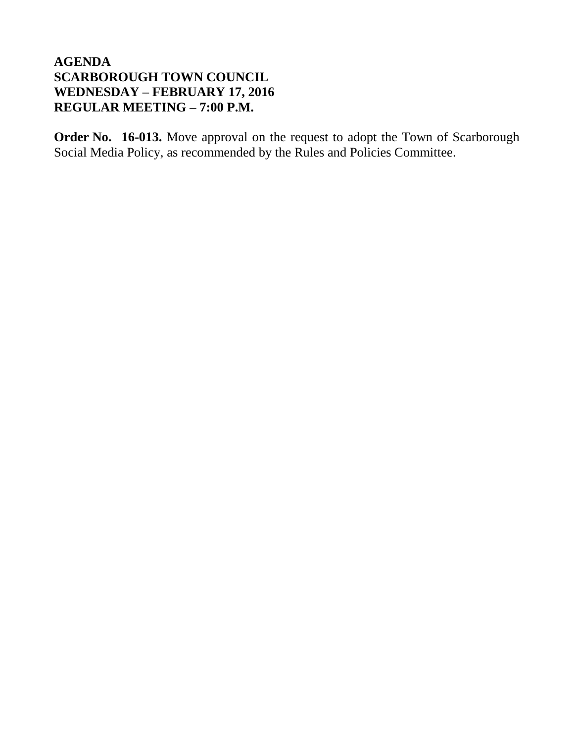**Order No. 16-013.** Move approval on the request to adopt the Town of Scarborough Social Media Policy, as recommended by the Rules and Policies Committee.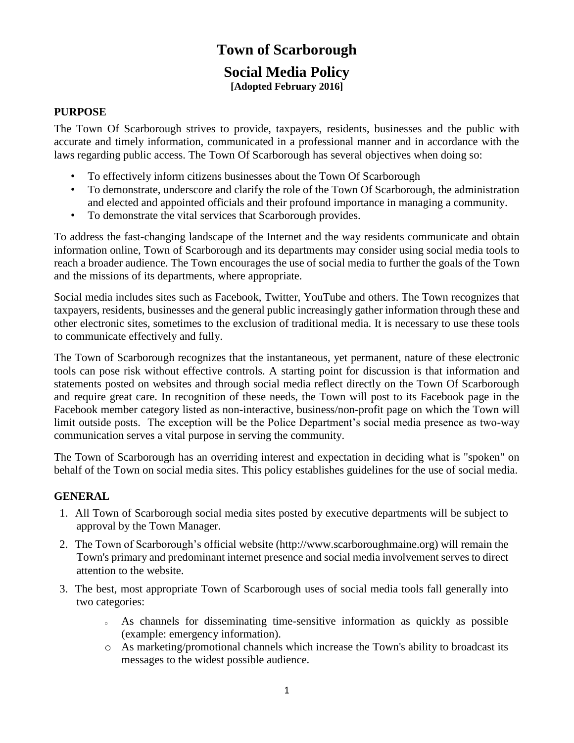# **Town of Scarborough**

## **Social Media Policy [Adopted February 2016]**

### **PURPOSE**

The Town Of Scarborough strives to provide, taxpayers, residents, businesses and the public with accurate and timely information, communicated in a professional manner and in accordance with the laws regarding public access. The Town Of Scarborough has several objectives when doing so:

- To effectively inform citizens businesses about the Town Of Scarborough
- To demonstrate, underscore and clarify the role of the Town Of Scarborough, the administration and elected and appointed officials and their profound importance in managing a community.
- To demonstrate the vital services that Scarborough provides.

To address the fast-changing landscape of the Internet and the way residents communicate and obtain information online, Town of Scarborough and its departments may consider using social media tools to reach a broader audience. The Town encourages the use of social media to further the goals of the Town and the missions of its departments, where appropriate.

Social media includes sites such as Facebook, Twitter, YouTube and others. The Town recognizes that taxpayers, residents, businesses and the general public increasingly gather information through these and other electronic sites, sometimes to the exclusion of traditional media. It is necessary to use these tools to communicate effectively and fully.

The Town of Scarborough recognizes that the instantaneous, yet permanent, nature of these electronic tools can pose risk without effective controls. A starting point for discussion is that information and statements posted on websites and through social media reflect directly on the Town Of Scarborough and require great care. In recognition of these needs, the Town will post to its Facebook page in the Facebook member category listed as non-interactive, business/non-profit page on which the Town will limit outside posts. The exception will be the Police Department's social media presence as two-way communication serves a vital purpose in serving the community.

The Town of Scarborough has an overriding interest and expectation in deciding what is "spoken" on behalf of the Town on social media sites. This policy establishes guidelines for the use of social media.

## **GENERAL**

- 1. All Town of Scarborough social media sites posted by executive departments will be subject to approval by the Town Manager.
- 2. The Town of Scarborough's official website (http://www.scarboroughmaine.org) will remain the Town's primary and predominant internet presence and social media involvement serves to direct attention to the website.
- 3. The best, most appropriate Town of Scarborough uses of social media tools fall generally into two categories:
	- <sup>o</sup> As channels for disseminating time-sensitive information as quickly as possible (example: emergency information).
	- o As marketing/promotional channels which increase the Town's ability to broadcast its messages to the widest possible audience.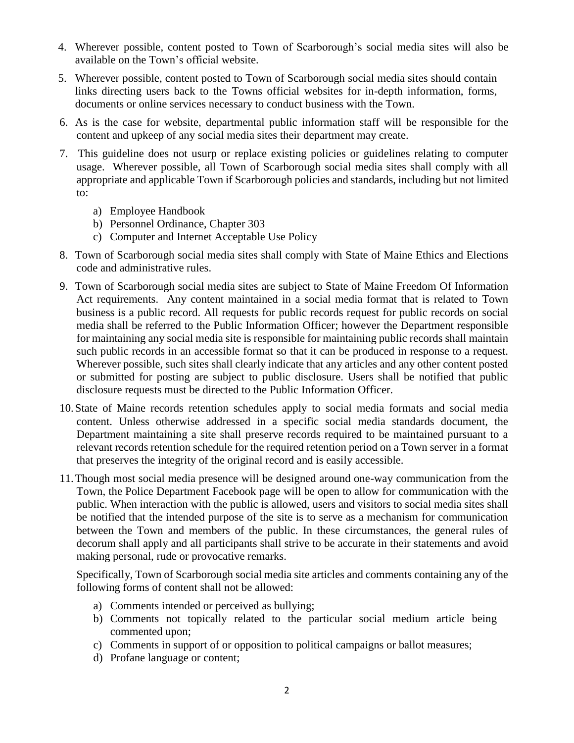- 4. Wherever possible, content posted to Town of Scarborough's social media sites will also be available on the Town's official website.
- 5. Wherever possible, content posted to Town of Scarborough social media sites should contain links directing users back to the Towns official websites for in-depth information, forms, documents or online services necessary to conduct business with the Town.
- 6. As is the case for website, departmental public information staff will be responsible for the content and upkeep of any social media sites their department may create.
- 7. This guideline does not usurp or replace existing policies or guidelines relating to computer usage. Wherever possible, all Town of Scarborough social media sites shall comply with all appropriate and applicable Town if Scarborough policies and standards, including but not limited to:
	- a) Employee Handbook
	- b) Personnel Ordinance, Chapter 303
	- c) [Computer and Internet Acceptable Use Policy](http://www.seattle.gov/pan/internetuse.htm)
- 8. Town of Scarborough social media sites shall comply with State of Maine Ethics and Elections code and administrative rules.
- 9. Town of Scarborough social media sites are subject to State of Maine Freedom Of Information Act requirements. Any content maintained in a social media format that is related to Town business is a public record. All requests for public records request for public records on social media shall be referred to the Public Information Officer; however the Department responsible for maintaining any social media site is responsible for maintaining public records shall maintain such public records in an accessible format so that it can be produced in response to a request. Wherever possible, such sites shall clearly indicate that any articles and any other content posted or submitted for posting are subject to public disclosure. Users shall be notified that public disclosure requests must be directed to the Public Information Officer.
- 10.State of Maine records retention schedules apply to social media formats and social media content. Unless otherwise addressed in a specific social media standards document, the Department maintaining a site shall preserve records required to be maintained pursuant to a relevant records retention schedule for the required retention period on a Town server in a format that preserves the integrity of the original record and is easily accessible.
- 11.Though most social media presence will be designed around one-way communication from the Town, the Police Department Facebook page will be open to allow for communication with the public. When interaction with the public is allowed, users and visitors to social media sites shall be notified that the intended purpose of the site is to serve as a mechanism for communication between the Town and members of the public. In these circumstances, the general rules of decorum shall apply and all participants shall strive to be accurate in their statements and avoid making personal, rude or provocative remarks.

Specifically, Town of Scarborough social media site articles and comments containing any of the following forms of content shall not be allowed:

- a) Comments intended or perceived as bullying;
- b) Comments not topically related to the particular social medium article being commented upon;
- c) Comments in support of or opposition to political campaigns or ballot measures;
- d) Profane language or content;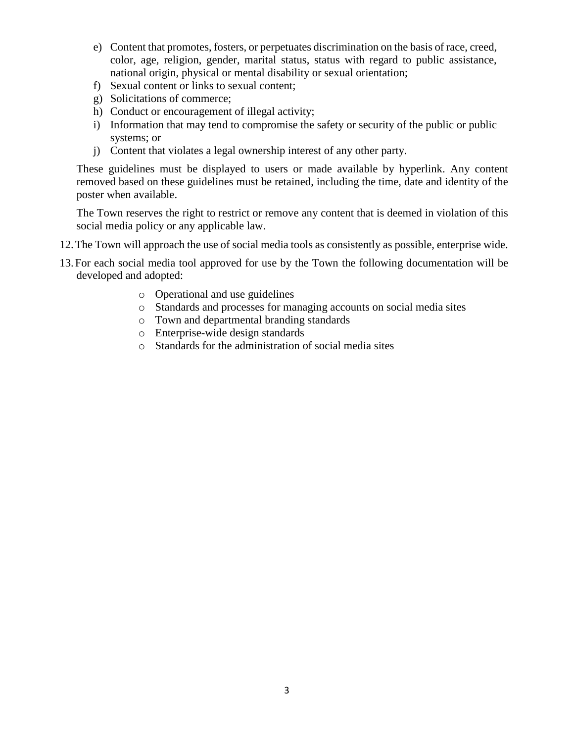- e) Content that promotes, fosters, or perpetuates discrimination on the basis of race, creed, color, age, religion, gender, marital status, status with regard to public assistance, national origin, physical or mental disability or sexual orientation;
- f) Sexual content or links to sexual content;
- g) Solicitations of commerce;
- h) Conduct or encouragement of illegal activity;
- i) Information that may tend to compromise the safety or security of the public or public systems; or
- j) Content that violates a legal ownership interest of any other party.

These guidelines must be displayed to users or made available by hyperlink. Any content removed based on these guidelines must be retained, including the time, date and identity of the poster when available.

The Town reserves the right to restrict or remove any content that is deemed in violation of this social media policy or any applicable law.

- 12.The Town will approach the use of social media tools as consistently as possible, enterprise wide.
- 13.For each social media tool approved for use by the Town the following documentation will be developed and adopted:
	- o Operational and use guidelines
	- o Standards and processes for managing accounts on social media sites
	- o Town and departmental branding standards
	- o Enterprise-wide design standards
	- o Standards for the administration of social media sites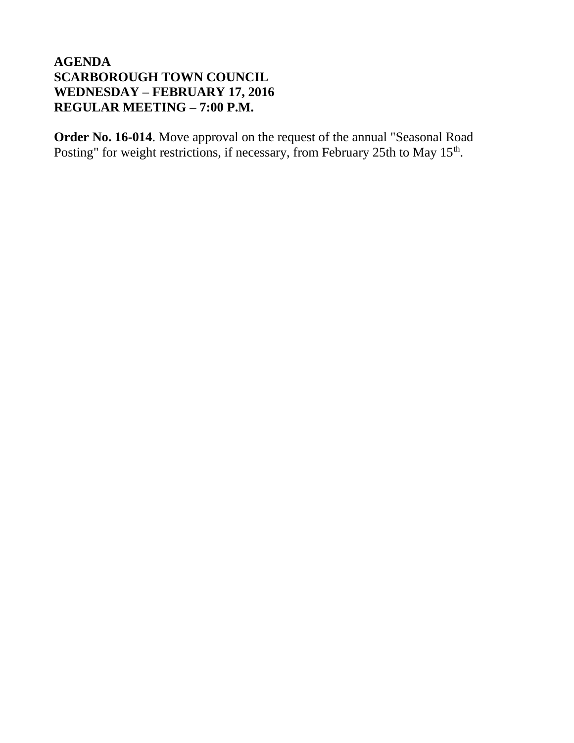**Order No. 16-014**. Move approval on the request of the annual "Seasonal Road Posting" for weight restrictions, if necessary, from February 25th to May 15<sup>th</sup>.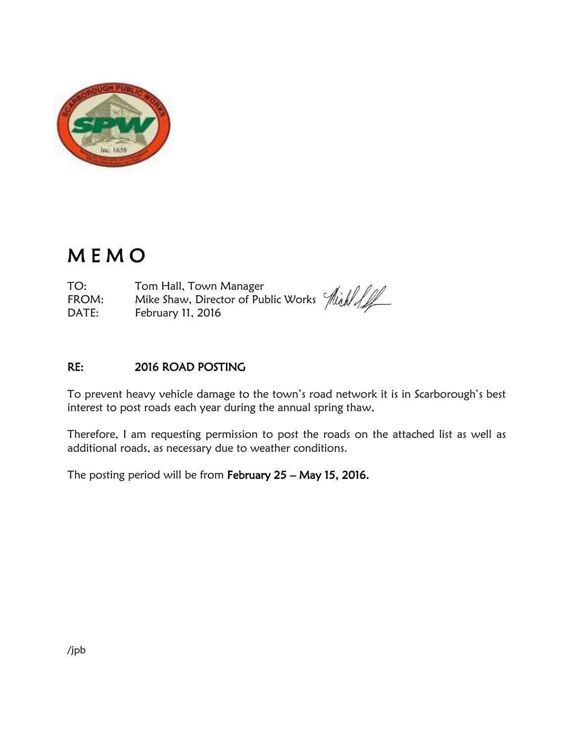

# M E M O

TO: Tom Hall, Town Manager FROM: Hom Hall, Town Manager<br>FROM: Mike Shaw, Director of Public Works  $\left|\frac{f}{f}\right|/\sqrt{f}$ DATE: February 11, 2016

## RE: 2016 ROAD POSTING

To prevent heavy vehicle damage to the town's road network it is in Scarborough's best interest to post roads each year during the annual spring thaw,

Therefore, I am requesting permission to post the roads on the attached list as well as additional roads, as necessary due to weather conditions.

The posting period will be from February 25 – May 15, 2016.